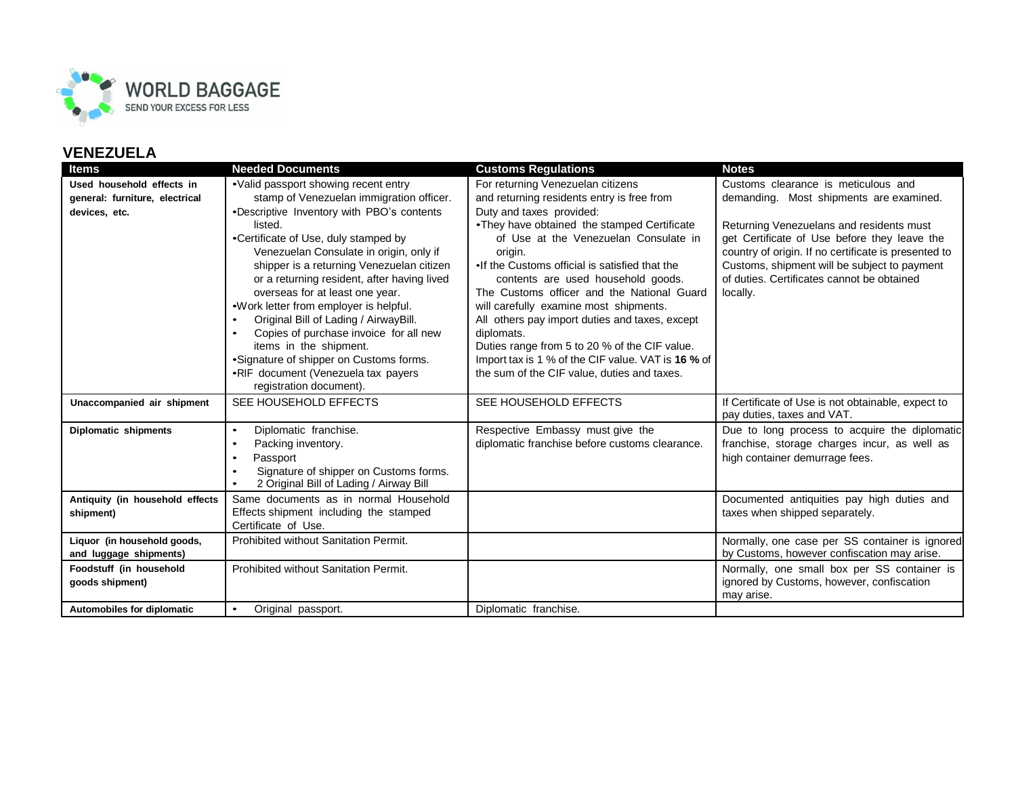

| <b>Items</b>                    | <b>Needed Documents</b>                                                           | <b>Customs Regulations</b>                                                       | <b>Notes</b>                                           |
|---------------------------------|-----------------------------------------------------------------------------------|----------------------------------------------------------------------------------|--------------------------------------------------------|
| Used household effects in       | •Valid passport showing recent entry                                              | For returning Venezuelan citizens                                                | Customs clearance is meticulous and                    |
| general: furniture, electrical  | stamp of Venezuelan immigration officer.                                          | and returning residents entry is free from                                       | demanding. Most shipments are examined.                |
| devices, etc.                   | •Descriptive Inventory with PBO's contents                                        | Duty and taxes provided:                                                         |                                                        |
|                                 | listed.                                                                           | •They have obtained the stamped Certificate                                      | Returning Venezuelans and residents must               |
|                                 | •Certificate of Use, duly stamped by                                              | of Use at the Venezuelan Consulate in                                            | get Certificate of Use before they leave the           |
|                                 | Venezuelan Consulate in origin, only if                                           | origin.                                                                          | country of origin. If no certificate is presented to   |
|                                 | shipper is a returning Venezuelan citizen                                         | •If the Customs official is satisfied that the                                   | Customs, shipment will be subject to payment           |
|                                 | or a returning resident, after having lived<br>overseas for at least one year.    | contents are used household goods.<br>The Customs officer and the National Guard | of duties. Certificates cannot be obtained<br>locally. |
|                                 | •Work letter from employer is helpful.                                            | will carefully examine most shipments.                                           |                                                        |
|                                 | Original Bill of Lading / AirwayBill.                                             | All others pay import duties and taxes, except                                   |                                                        |
|                                 | Copies of purchase invoice for all new                                            | diplomats.                                                                       |                                                        |
|                                 | items in the shipment.                                                            | Duties range from 5 to 20 % of the CIF value.                                    |                                                        |
|                                 | •Signature of shipper on Customs forms.                                           | Import tax is 1 % of the CIF value. VAT is 16 % of                               |                                                        |
|                                 | •RIF document (Venezuela tax payers                                               | the sum of the CIF value, duties and taxes.                                      |                                                        |
|                                 | registration document).                                                           |                                                                                  |                                                        |
| Unaccompanied air shipment      | SEE HOUSEHOLD EFFECTS                                                             | SEE HOUSEHOLD EFFECTS                                                            | If Certificate of Use is not obtainable, expect to     |
|                                 |                                                                                   |                                                                                  | pay duties, taxes and VAT.                             |
| Diplomatic shipments            | Diplomatic franchise.<br>$\bullet$                                                | Respective Embassy must give the                                                 | Due to long process to acquire the diplomatic          |
|                                 | Packing inventory.<br>$\bullet$                                                   | diplomatic franchise before customs clearance.                                   | franchise, storage charges incur, as well as           |
|                                 | Passport<br>$\bullet$                                                             |                                                                                  | high container demurrage fees.                         |
|                                 | Signature of shipper on Customs forms.<br>2 Original Bill of Lading / Airway Bill |                                                                                  |                                                        |
| Antiquity (in household effects | Same documents as in normal Household                                             |                                                                                  | Documented antiquities pay high duties and             |
| shipment)                       | Effects shipment including the stamped                                            |                                                                                  | taxes when shipped separately.                         |
|                                 | Certificate of Use.                                                               |                                                                                  |                                                        |
| Liquor (in household goods,     | Prohibited without Sanitation Permit.                                             |                                                                                  | Normally, one case per SS container is ignored         |
| and luggage shipments)          |                                                                                   |                                                                                  | by Customs, however confiscation may arise.            |
| Foodstuff (in household         | Prohibited without Sanitation Permit.                                             |                                                                                  | Normally, one small box per SS container is            |
| goods shipment)                 |                                                                                   |                                                                                  | ignored by Customs, however, confiscation              |
|                                 |                                                                                   |                                                                                  | may arise.                                             |
| Automobiles for diplomatic      | Original passport.<br>$\bullet$                                                   | Diplomatic franchise.                                                            |                                                        |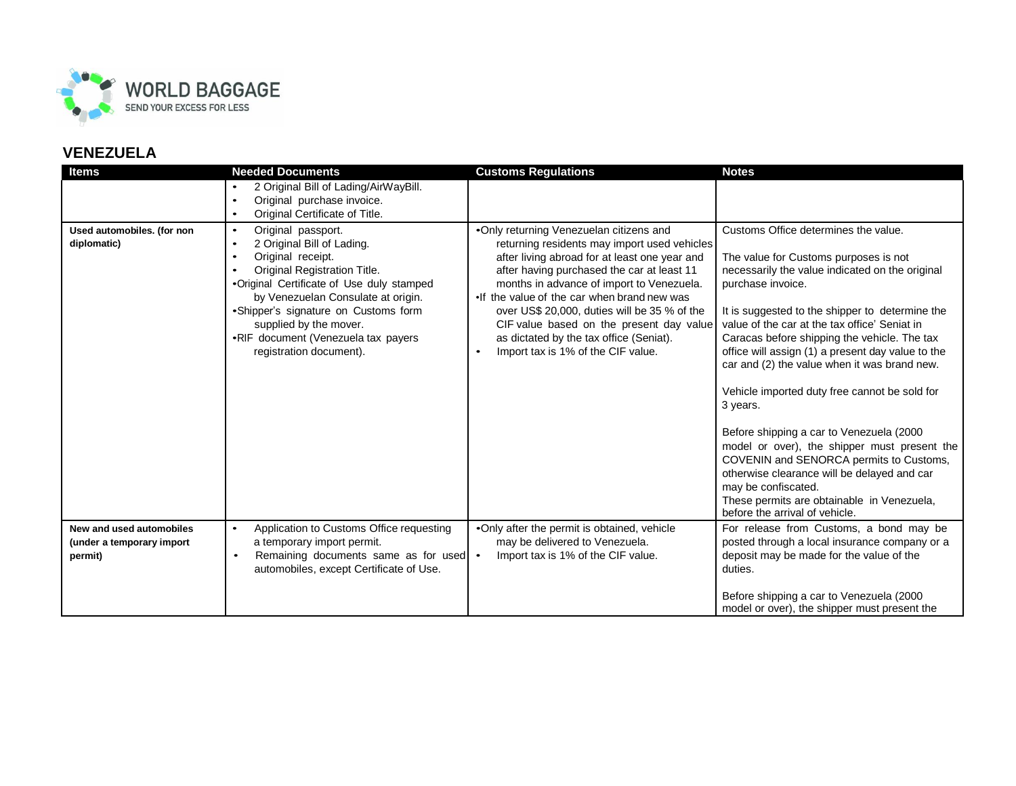

| <b>Items</b>                                                     | <b>Needed Documents</b>                                                                                                                                                                                                                                                                                                                                             | <b>Customs Regulations</b>                                                                                                                                                                                                                                                                                                                                                                                                                                       | <b>Notes</b>                                                                                                                                                                                                                                                                                                                                                                                                                                                                                                                                                                                                                                                                                                                                                              |
|------------------------------------------------------------------|---------------------------------------------------------------------------------------------------------------------------------------------------------------------------------------------------------------------------------------------------------------------------------------------------------------------------------------------------------------------|------------------------------------------------------------------------------------------------------------------------------------------------------------------------------------------------------------------------------------------------------------------------------------------------------------------------------------------------------------------------------------------------------------------------------------------------------------------|---------------------------------------------------------------------------------------------------------------------------------------------------------------------------------------------------------------------------------------------------------------------------------------------------------------------------------------------------------------------------------------------------------------------------------------------------------------------------------------------------------------------------------------------------------------------------------------------------------------------------------------------------------------------------------------------------------------------------------------------------------------------------|
|                                                                  | 2 Original Bill of Lading/AirWayBill.<br>Original purchase invoice.<br>$\bullet$<br>Original Certificate of Title.<br>$\bullet$                                                                                                                                                                                                                                     |                                                                                                                                                                                                                                                                                                                                                                                                                                                                  |                                                                                                                                                                                                                                                                                                                                                                                                                                                                                                                                                                                                                                                                                                                                                                           |
| Used automobiles. (for non<br>diplomatic)                        | Original passport.<br>$\bullet$<br>2 Original Bill of Lading.<br>$\bullet$<br>Original receipt.<br>Original Registration Title.<br>$\bullet$<br>•Original Certificate of Use duly stamped<br>by Venezuelan Consulate at origin.<br>•Shipper's signature on Customs form<br>supplied by the mover.<br>•RIF document (Venezuela tax payers<br>registration document). | .Only returning Venezuelan citizens and<br>returning residents may import used vehicles<br>after living abroad for at least one year and<br>after having purchased the car at least 11<br>months in advance of import to Venezuela.<br>. If the value of the car when brand new was<br>over US\$ 20,000, duties will be 35 % of the<br>CIF value based on the present day value<br>as dictated by the tax office (Seniat).<br>Import tax is 1% of the CIF value. | Customs Office determines the value.<br>The value for Customs purposes is not<br>necessarily the value indicated on the original<br>purchase invoice.<br>It is suggested to the shipper to determine the<br>value of the car at the tax office' Seniat in<br>Caracas before shipping the vehicle. The tax<br>office will assign (1) a present day value to the<br>car and (2) the value when it was brand new.<br>Vehicle imported duty free cannot be sold for<br>3 years.<br>Before shipping a car to Venezuela (2000)<br>model or over), the shipper must present the<br>COVENIN and SENORCA permits to Customs,<br>otherwise clearance will be delayed and car<br>may be confiscated.<br>These permits are obtainable in Venezuela,<br>before the arrival of vehicle. |
| New and used automobiles<br>(under a temporary import<br>permit) | Application to Customs Office requesting<br>$\bullet$<br>a temporary import permit.<br>Remaining documents same as for used   .<br>$\bullet$<br>automobiles, except Certificate of Use.                                                                                                                                                                             | .Only after the permit is obtained, vehicle<br>may be delivered to Venezuela.<br>Import tax is 1% of the CIF value.                                                                                                                                                                                                                                                                                                                                              | For release from Customs, a bond may be<br>posted through a local insurance company or a<br>deposit may be made for the value of the<br>duties.<br>Before shipping a car to Venezuela (2000<br>model or over), the shipper must present the                                                                                                                                                                                                                                                                                                                                                                                                                                                                                                                               |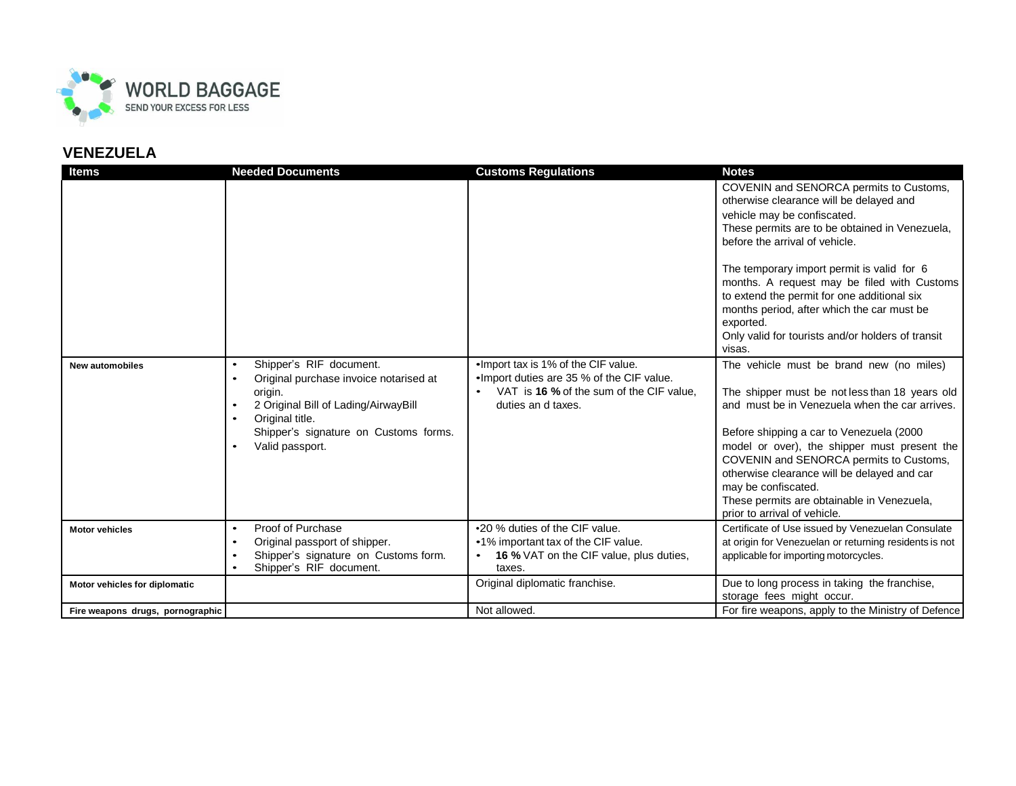

| <b>Items</b>                     | <b>Needed Documents</b>                                                                                                                                                                                                       | <b>Customs Regulations</b>                                                                                                                                        | <b>Notes</b>                                                                                                                                                                                                                                                                                                                                                                                                                                                                |
|----------------------------------|-------------------------------------------------------------------------------------------------------------------------------------------------------------------------------------------------------------------------------|-------------------------------------------------------------------------------------------------------------------------------------------------------------------|-----------------------------------------------------------------------------------------------------------------------------------------------------------------------------------------------------------------------------------------------------------------------------------------------------------------------------------------------------------------------------------------------------------------------------------------------------------------------------|
|                                  |                                                                                                                                                                                                                               |                                                                                                                                                                   | COVENIN and SENORCA permits to Customs,<br>otherwise clearance will be delayed and<br>vehicle may be confiscated.<br>These permits are to be obtained in Venezuela,<br>before the arrival of vehicle.<br>The temporary import permit is valid for 6<br>months. A request may be filed with Customs<br>to extend the permit for one additional six<br>months period, after which the car must be<br>exported.<br>Only valid for tourists and/or holders of transit<br>visas. |
| <b>New automobiles</b>           | Shipper's RIF document.<br>$\bullet$<br>Original purchase invoice notarised at<br>$\bullet$<br>origin.<br>2 Original Bill of Lading/AirwayBill<br>Original title.<br>Shipper's signature on Customs forms.<br>Valid passport. | . Import tax is 1% of the CIF value.<br>. Import duties are 35 % of the CIF value.<br>VAT is 16 % of the sum of the CIF value,<br>$\bullet$<br>duties an d taxes. | The vehicle must be brand new (no miles)<br>The shipper must be not less than 18 years old<br>and must be in Venezuela when the car arrives.<br>Before shipping a car to Venezuela (2000<br>model or over), the shipper must present the<br>COVENIN and SENORCA permits to Customs,<br>otherwise clearance will be delayed and car<br>may be confiscated.<br>These permits are obtainable in Venezuela,<br>prior to arrival of vehicle.                                     |
| <b>Motor vehicles</b>            | Proof of Purchase<br>$\bullet$<br>Original passport of shipper.<br>$\bullet$<br>Shipper's signature on Customs form.<br>Shipper's RIF document.<br>$\bullet$                                                                  | •20 % duties of the CIF value.<br>•1% important tax of the CIF value.<br><b>16 %</b> VAT on the CIF value, plus duties,<br>taxes.                                 | Certificate of Use issued by Venezuelan Consulate<br>at origin for Venezuelan or returning residents is not<br>applicable for importing motorcycles.                                                                                                                                                                                                                                                                                                                        |
| Motor vehicles for diplomatic    |                                                                                                                                                                                                                               | Original diplomatic franchise.                                                                                                                                    | Due to long process in taking the franchise,<br>storage fees might occur.                                                                                                                                                                                                                                                                                                                                                                                                   |
| Fire weapons drugs, pornographic |                                                                                                                                                                                                                               | Not allowed.                                                                                                                                                      | For fire weapons, apply to the Ministry of Defence                                                                                                                                                                                                                                                                                                                                                                                                                          |